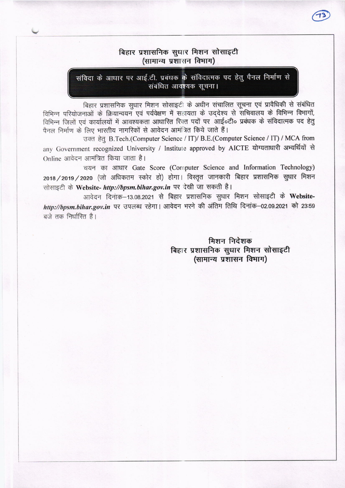# बिहार प्रशासनिक सुधार मिशन सोसाइटी (सामान्य प्रशासन विभाग)

संविदा के आधार पर आई.टी. प्रबंधक के संविदात्मक पद हेतु पैनल निर्माण से संबंधित आवश्यक सचना।

बिहार प्रशासनिक सुधार मिशन सोसाइटी के अधीन संचालित सूचना एवं प्रावैधिकी से संबंधित विभिन्न परियोजनाओं के क्रियान्वयन एवं पर्यवेक्षण में सहायता के उद्देश्य से संचिवालय के विभिन्न विभागों,<br>विभिन्न जिलों एवं कार्यालयों में आवश्यकता आधारित रिक्त पदों पर आई॰टी॰ प्रबंधक के संविदात्मक पद हेतु पैनल निर्माण के लिए भारतीय नागरिकों से आवेदन आमंत्रित किये जाते हैं।

उक्त हेतु B.Tech.(Computer Science / IT)/ B.E.(Computer Science / IT) / MCA from any Government recognized University / Institute approved by AICTE योग्यताधारी अभ्यर्थियों से Online आवेदन आमंत्रित किया जाता है।

चयन का आधार Gate Score (Computer Science and Information Technology) 2018 / 2019 / 2020 (जो अधिकतम स्कोर हो) होगा। विस्तृत जानकारी बिहार प्रशासनिक सुधार मिशन सोसाइटी के Website- http://bpsm.bihar.gov.in पर देखी जा सकती है।

आवेदन दिनांक-13.08.2021 से बिहार प्रशासनिक सुधार मिशन सोसाइटी के Websitehttp://bpsm.bihar.gov.in पर उपलब्ध रहेगा। आवेदन भरने की अंतिम तिथि दिनांक-02.09.2021 को 23:59  $\overrightarrow{a}$ जे तक निर्धारित है।

> मिशन निर्देशक बिहार प्रशासनिक सुधार मिशन सोसाइटी (सामान्य प्रशासन विभाग)